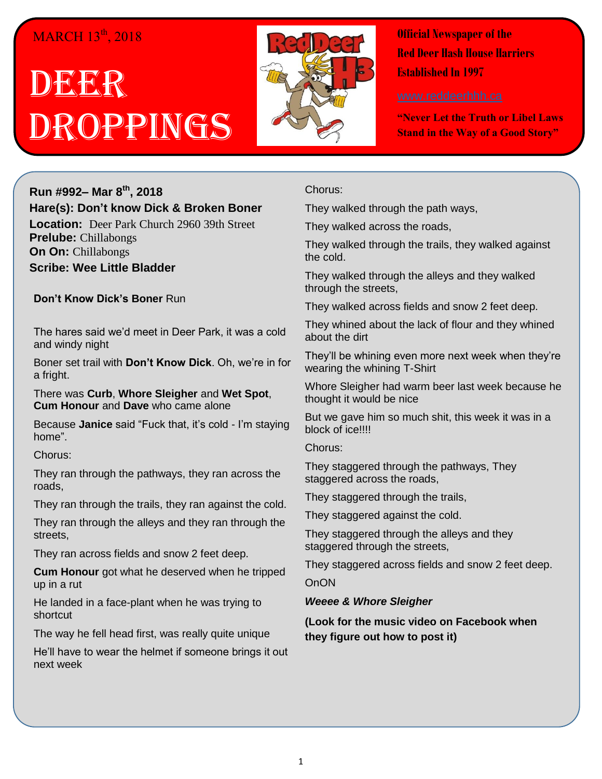## $MARCH$  13<sup>th</sup>, 2018

# DECKR Droppings



**Official Newspaper of the Red Deer Hash House Harriers Established In 1997** 

**"Never Let the Truth or Libel Laws Stand in the Way of a Good Story"**

### **Run #992– Mar 8 th, 2018 Hare(s): Don't know Dick & Broken Boner**

**Location:** Deer Park Church 2960 39th Street **Prelube:** Chillabongs **On On:** Chillabongs **Scribe: Wee Little Bladder**

**Don't Know Dick's Boner** Run

The hares said we'd meet in Deer Park, it was a cold and windy night

Boner set trail with **Don't Know Dick**. Oh, we're in for a fright.

There was **Curb**, **Whore Sleigher** and **Wet Spot**, **Cum Honour** and **Dave** who came alone

Because **Janice** said "Fuck that, it's cold - I'm staying home".

Chorus:

They ran through the pathways, they ran across the roads,

They ran through the trails, they ran against the cold.

They ran through the alleys and they ran through the streets,

They ran across fields and snow 2 feet deep.

**Cum Honour** got what he deserved when he tripped up in a rut

He landed in a face-plant when he was trying to shortcut

The way he fell head first, was really quite unique

He'll have to wear the helmet if someone brings it out next week

Chorus:

They walked through the path ways,

They walked across the roads,

They walked through the trails, they walked against the cold.

They walked through the alleys and they walked through the streets,

They walked across fields and snow 2 feet deep.

They whined about the lack of flour and they whined about the dirt

They'll be whining even more next week when they're wearing the whining T-Shirt

Whore Sleigher had warm beer last week because he thought it would be nice

But we gave him so much shit, this week it was in a block of ice!!!!

Chorus:

They staggered through the pathways, They staggered across the roads,

They staggered through the trails,

They staggered against the cold.

They staggered through the alleys and they staggered through the streets,

They staggered across fields and snow 2 feet deep.

**OnON** 

*Weeee & Whore Sleigher*

**(Look for the music video on Facebook when they figure out how to post it)**